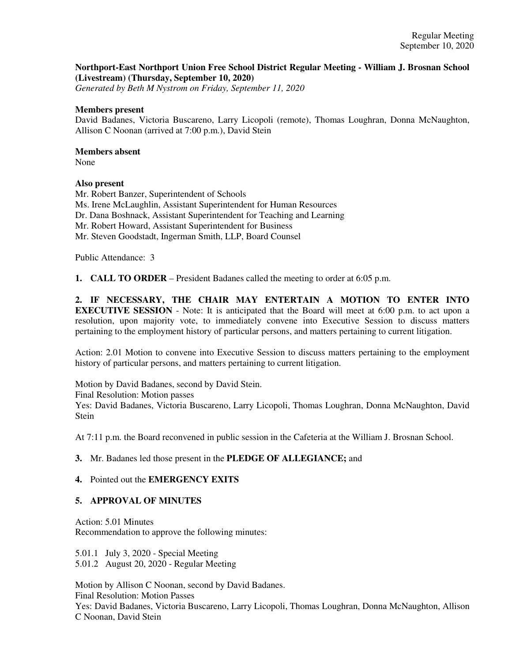### **Northport-East Northport Union Free School District Regular Meeting - William J. Brosnan School (Livestream) (Thursday, September 10, 2020)**

*Generated by Beth M Nystrom on Friday, September 11, 2020*

#### **Members present**

David Badanes, Victoria Buscareno, Larry Licopoli (remote), Thomas Loughran, Donna McNaughton, Allison C Noonan (arrived at 7:00 p.m.), David Stein

### **Members absent**

None

### **Also present**

Mr. Robert Banzer, Superintendent of Schools Ms. Irene McLaughlin, Assistant Superintendent for Human Resources Dr. Dana Boshnack, Assistant Superintendent for Teaching and Learning Mr. Robert Howard, Assistant Superintendent for Business Mr. Steven Goodstadt, Ingerman Smith, LLP, Board Counsel

Public Attendance: 3

**1. CALL TO ORDER** – President Badanes called the meeting to order at 6:05 p.m.

**2. IF NECESSARY, THE CHAIR MAY ENTERTAIN A MOTION TO ENTER INTO EXECUTIVE SESSION** - Note: It is anticipated that the Board will meet at 6:00 p.m. to act upon a resolution, upon majority vote, to immediately convene into Executive Session to discuss matters pertaining to the employment history of particular persons, and matters pertaining to current litigation.

Action: 2.01 Motion to convene into Executive Session to discuss matters pertaining to the employment history of particular persons, and matters pertaining to current litigation.

Motion by David Badanes, second by David Stein. Final Resolution: Motion passes Yes: David Badanes, Victoria Buscareno, Larry Licopoli, Thomas Loughran, Donna McNaughton, David **Stein** 

At 7:11 p.m. the Board reconvened in public session in the Cafeteria at the William J. Brosnan School.

### **3.** Mr. Badanes led those present in the **PLEDGE OF ALLEGIANCE;** and

### **4.** Pointed out the **EMERGENCY EXITS**

### **5. APPROVAL OF MINUTES**

Action: 5.01 Minutes Recommendation to approve the following minutes:

5.01.1 July 3, 2020 - Special Meeting 5.01.2 August 20, 2020 - Regular Meeting

Motion by Allison C Noonan, second by David Badanes. Final Resolution: Motion Passes Yes: David Badanes, Victoria Buscareno, Larry Licopoli, Thomas Loughran, Donna McNaughton, Allison C Noonan, David Stein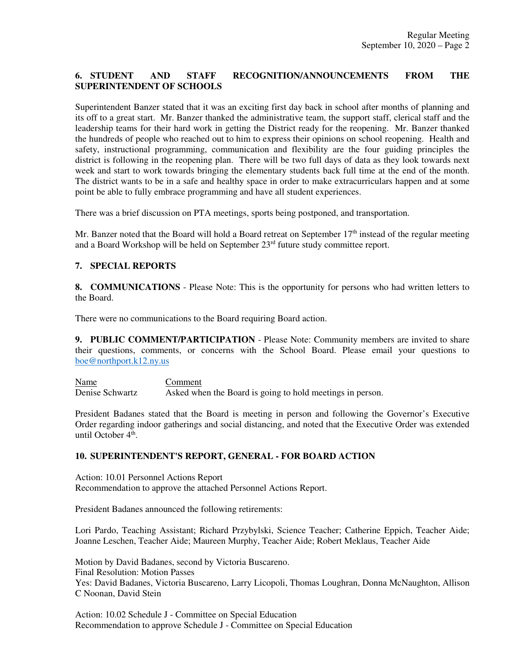# **6. STUDENT AND STAFF RECOGNITION/ANNOUNCEMENTS FROM THE SUPERINTENDENT OF SCHOOLS**

Superintendent Banzer stated that it was an exciting first day back in school after months of planning and its off to a great start. Mr. Banzer thanked the administrative team, the support staff, clerical staff and the leadership teams for their hard work in getting the District ready for the reopening. Mr. Banzer thanked the hundreds of people who reached out to him to express their opinions on school reopening. Health and safety, instructional programming, communication and flexibility are the four guiding principles the district is following in the reopening plan. There will be two full days of data as they look towards next week and start to work towards bringing the elementary students back full time at the end of the month. The district wants to be in a safe and healthy space in order to make extracurriculars happen and at some point be able to fully embrace programming and have all student experiences.

There was a brief discussion on PTA meetings, sports being postponed, and transportation.

Mr. Banzer noted that the Board will hold a Board retreat on September  $17<sup>th</sup>$  instead of the regular meeting and a Board Workshop will be held on September 23<sup>rd</sup> future study committee report.

### **7. SPECIAL REPORTS**

**8. COMMUNICATIONS** - Please Note: This is the opportunity for persons who had written letters to the Board.

There were no communications to the Board requiring Board action.

**9. PUBLIC COMMENT/PARTICIPATION** - Please Note: Community members are invited to share their questions, comments, or concerns with the School Board. Please email your questions to boe@northport.k12.ny.us

Name Comment Denise Schwartz Asked when the Board is going to hold meetings in person.

President Badanes stated that the Board is meeting in person and following the Governor's Executive Order regarding indoor gatherings and social distancing, and noted that the Executive Order was extended until October 4<sup>th</sup>.

## **10. SUPERINTENDENT'S REPORT, GENERAL - FOR BOARD ACTION**

Action: 10.01 Personnel Actions Report Recommendation to approve the attached Personnel Actions Report.

President Badanes announced the following retirements:

Lori Pardo, Teaching Assistant; Richard Przybylski, Science Teacher; Catherine Eppich, Teacher Aide; Joanne Leschen, Teacher Aide; Maureen Murphy, Teacher Aide; Robert Meklaus, Teacher Aide

Motion by David Badanes, second by Victoria Buscareno. Final Resolution: Motion Passes Yes: David Badanes, Victoria Buscareno, Larry Licopoli, Thomas Loughran, Donna McNaughton, Allison C Noonan, David Stein

Action: 10.02 Schedule J - Committee on Special Education Recommendation to approve Schedule J - Committee on Special Education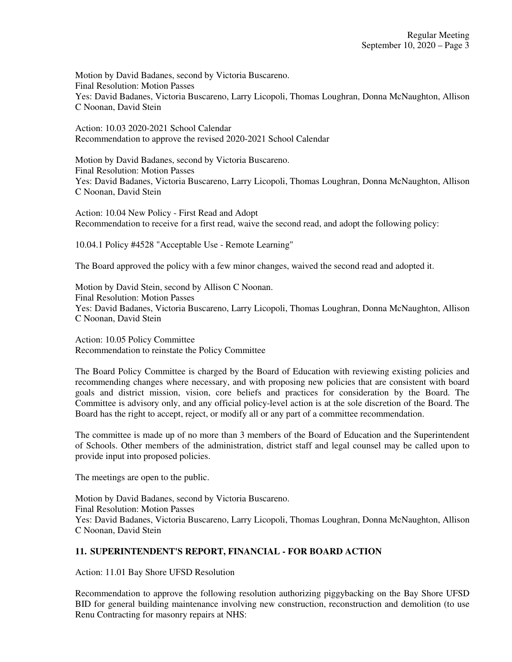Motion by David Badanes, second by Victoria Buscareno. Final Resolution: Motion Passes Yes: David Badanes, Victoria Buscareno, Larry Licopoli, Thomas Loughran, Donna McNaughton, Allison C Noonan, David Stein

Action: 10.03 2020-2021 School Calendar Recommendation to approve the revised 2020-2021 School Calendar

Motion by David Badanes, second by Victoria Buscareno. Final Resolution: Motion Passes Yes: David Badanes, Victoria Buscareno, Larry Licopoli, Thomas Loughran, Donna McNaughton, Allison C Noonan, David Stein

Action: 10.04 New Policy - First Read and Adopt Recommendation to receive for a first read, waive the second read, and adopt the following policy:

10.04.1 Policy #4528 "Acceptable Use - Remote Learning"

The Board approved the policy with a few minor changes, waived the second read and adopted it.

Motion by David Stein, second by Allison C Noonan. Final Resolution: Motion Passes Yes: David Badanes, Victoria Buscareno, Larry Licopoli, Thomas Loughran, Donna McNaughton, Allison C Noonan, David Stein

Action: 10.05 Policy Committee Recommendation to reinstate the Policy Committee

The Board Policy Committee is charged by the Board of Education with reviewing existing policies and recommending changes where necessary, and with proposing new policies that are consistent with board goals and district mission, vision, core beliefs and practices for consideration by the Board. The Committee is advisory only, and any official policy-level action is at the sole discretion of the Board. The Board has the right to accept, reject, or modify all or any part of a committee recommendation.

The committee is made up of no more than 3 members of the Board of Education and the Superintendent of Schools. Other members of the administration, district staff and legal counsel may be called upon to provide input into proposed policies.

The meetings are open to the public.

Motion by David Badanes, second by Victoria Buscareno. Final Resolution: Motion Passes Yes: David Badanes, Victoria Buscareno, Larry Licopoli, Thomas Loughran, Donna McNaughton, Allison C Noonan, David Stein

# **11. SUPERINTENDENT'S REPORT, FINANCIAL - FOR BOARD ACTION**

Action: 11.01 Bay Shore UFSD Resolution

Recommendation to approve the following resolution authorizing piggybacking on the Bay Shore UFSD BID for general building maintenance involving new construction, reconstruction and demolition (to use Renu Contracting for masonry repairs at NHS: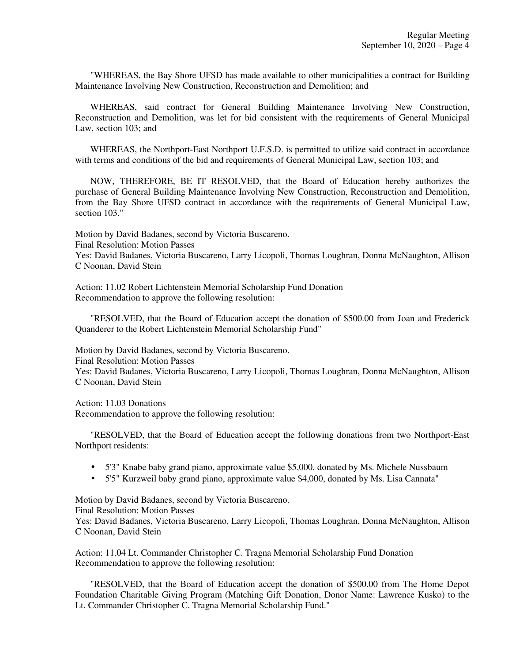"WHEREAS, the Bay Shore UFSD has made available to other municipalities a contract for Building Maintenance Involving New Construction, Reconstruction and Demolition; and

 WHEREAS, said contract for General Building Maintenance Involving New Construction, Reconstruction and Demolition, was let for bid consistent with the requirements of General Municipal Law, section 103; and

 WHEREAS, the Northport-East Northport U.F.S.D. is permitted to utilize said contract in accordance with terms and conditions of the bid and requirements of General Municipal Law, section 103; and

 NOW, THEREFORE, BE IT RESOLVED, that the Board of Education hereby authorizes the purchase of General Building Maintenance Involving New Construction, Reconstruction and Demolition, from the Bay Shore UFSD contract in accordance with the requirements of General Municipal Law, section 103."

Motion by David Badanes, second by Victoria Buscareno. Final Resolution: Motion Passes Yes: David Badanes, Victoria Buscareno, Larry Licopoli, Thomas Loughran, Donna McNaughton, Allison C Noonan, David Stein

Action: 11.02 Robert Lichtenstein Memorial Scholarship Fund Donation Recommendation to approve the following resolution:

 "RESOLVED, that the Board of Education accept the donation of \$500.00 from Joan and Frederick Quanderer to the Robert Lichtenstein Memorial Scholarship Fund"

Motion by David Badanes, second by Victoria Buscareno. Final Resolution: Motion Passes Yes: David Badanes, Victoria Buscareno, Larry Licopoli, Thomas Loughran, Donna McNaughton, Allison C Noonan, David Stein

Action: 11.03 Donations Recommendation to approve the following resolution:

 "RESOLVED, that the Board of Education accept the following donations from two Northport-East Northport residents:

- 5'3" Knabe baby grand piano, approximate value \$5,000, donated by Ms. Michele Nussbaum
- 5'5" Kurzweil baby grand piano, approximate value \$4,000, donated by Ms. Lisa Cannata"

Motion by David Badanes, second by Victoria Buscareno.

Final Resolution: Motion Passes

Yes: David Badanes, Victoria Buscareno, Larry Licopoli, Thomas Loughran, Donna McNaughton, Allison C Noonan, David Stein

Action: 11.04 Lt. Commander Christopher C. Tragna Memorial Scholarship Fund Donation Recommendation to approve the following resolution:

 "RESOLVED, that the Board of Education accept the donation of \$500.00 from The Home Depot Foundation Charitable Giving Program (Matching Gift Donation, Donor Name: Lawrence Kusko) to the Lt. Commander Christopher C. Tragna Memorial Scholarship Fund."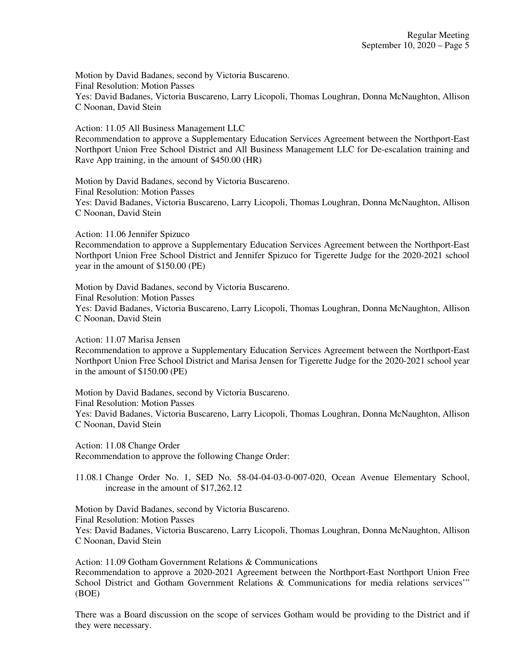Motion by David Badanes, second by Victoria Buscareno. Final Resolution: Motion Passes Yes: David Badanes, Victoria Buscareno, Larry Licopoli, Thomas Loughran, Donna McNaughton, Allison C Noonan, David Stein

Action: 11.05 All Business Management LLC Recommendation to approve a Supplementary Education Services Agreement between the Northport-East Northport Union Free School District and All Business Management LLC for De-escalation training and Rave App training, in the amount of \$450.00 (HR)

Motion by David Badanes, second by Victoria Buscareno. Final Resolution: Motion Passes Yes: David Badanes, Victoria Buscareno, Larry Licopoli, Thomas Loughran, Donna McNaughton, Allison C Noonan, David Stein

Action: 11.06 Jennifer Spizuco

Recommendation to approve a Supplementary Education Services Agreement between the Northport-East Northport Union Free School District and Jennifer Spizuco for Tigerette Judge for the 2020-2021 school year in the amount of \$150.00 (PE)

Motion by David Badanes, second by Victoria Buscareno. Final Resolution: Motion Passes Yes: David Badanes, Victoria Buscareno, Larry Licopoli, Thomas Loughran, Donna McNaughton, Allison C Noonan, David Stein

Action: 11.07 Marisa Jensen

Recommendation to approve a Supplementary Education Services Agreement between the Northport-East Northport Union Free School District and Marisa Jensen for Tigerette Judge for the 2020-2021 school year in the amount of \$150.00 (PE)

Motion by David Badanes, second by Victoria Buscareno. Final Resolution: Motion Passes Yes: David Badanes, Victoria Buscareno, Larry Licopoli, Thomas Loughran, Donna McNaughton, Allison C Noonan, David Stein

Action: 11.08 Change Order Recommendation to approve the following Change Order:

11.08.1 Change Order No. 1, SED No. 58-04-04-03-0-007-020, Ocean Avenue Elementary School, increase in the amount of \$17,262.12

Motion by David Badanes, second by Victoria Buscareno. Final Resolution: Motion Passes Yes: David Badanes, Victoria Buscareno, Larry Licopoli, Thomas Loughran, Donna McNaughton, Allison C Noonan, David Stein

Action: 11.09 Gotham Government Relations & Communications Recommendation to approve a 2020-2021 Agreement between the Northport-East Northport Union Free School District and Gotham Government Relations & Communications for media relations services'" (BOE)

There was a Board discussion on the scope of services Gotham would be providing to the District and if they were necessary.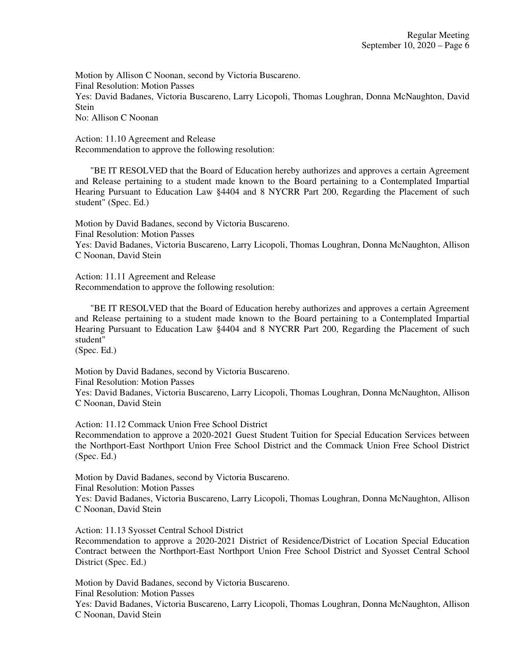Motion by Allison C Noonan, second by Victoria Buscareno. Final Resolution: Motion Passes Yes: David Badanes, Victoria Buscareno, Larry Licopoli, Thomas Loughran, Donna McNaughton, David Stein No: Allison C Noonan

Action: 11.10 Agreement and Release Recommendation to approve the following resolution:

 "BE IT RESOLVED that the Board of Education hereby authorizes and approves a certain Agreement and Release pertaining to a student made known to the Board pertaining to a Contemplated Impartial Hearing Pursuant to Education Law §4404 and 8 NYCRR Part 200, Regarding the Placement of such student" (Spec. Ed.)

Motion by David Badanes, second by Victoria Buscareno. Final Resolution: Motion Passes Yes: David Badanes, Victoria Buscareno, Larry Licopoli, Thomas Loughran, Donna McNaughton, Allison C Noonan, David Stein

Action: 11.11 Agreement and Release Recommendation to approve the following resolution:

 "BE IT RESOLVED that the Board of Education hereby authorizes and approves a certain Agreement and Release pertaining to a student made known to the Board pertaining to a Contemplated Impartial Hearing Pursuant to Education Law §4404 and 8 NYCRR Part 200, Regarding the Placement of such student"

(Spec. Ed.)

Motion by David Badanes, second by Victoria Buscareno. Final Resolution: Motion Passes

Yes: David Badanes, Victoria Buscareno, Larry Licopoli, Thomas Loughran, Donna McNaughton, Allison C Noonan, David Stein

Action: 11.12 Commack Union Free School District

Recommendation to approve a 2020-2021 Guest Student Tuition for Special Education Services between the Northport-East Northport Union Free School District and the Commack Union Free School District (Spec. Ed.)

Motion by David Badanes, second by Victoria Buscareno.

Final Resolution: Motion Passes

Yes: David Badanes, Victoria Buscareno, Larry Licopoli, Thomas Loughran, Donna McNaughton, Allison C Noonan, David Stein

Action: 11.13 Syosset Central School District

Recommendation to approve a 2020-2021 District of Residence/District of Location Special Education Contract between the Northport-East Northport Union Free School District and Syosset Central School District (Spec. Ed.)

Motion by David Badanes, second by Victoria Buscareno.

Final Resolution: Motion Passes

Yes: David Badanes, Victoria Buscareno, Larry Licopoli, Thomas Loughran, Donna McNaughton, Allison C Noonan, David Stein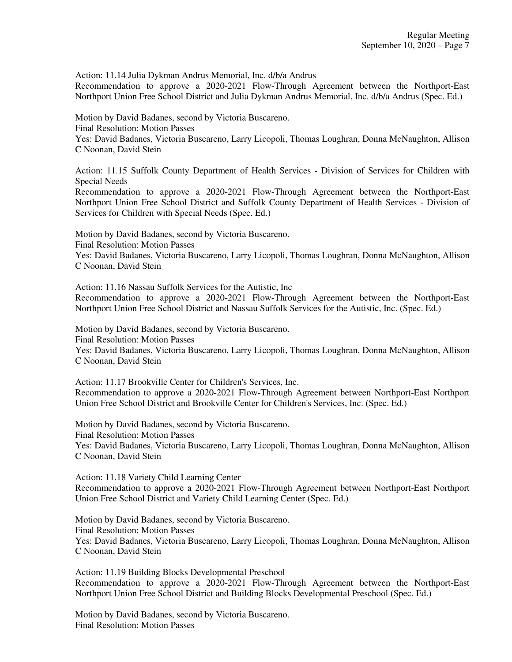Action: 11.14 Julia Dykman Andrus Memorial, Inc. d/b/a Andrus

Recommendation to approve a 2020-2021 Flow-Through Agreement between the Northport-East Northport Union Free School District and Julia Dykman Andrus Memorial, Inc. d/b/a Andrus (Spec. Ed.)

Motion by David Badanes, second by Victoria Buscareno.

Final Resolution: Motion Passes

Yes: David Badanes, Victoria Buscareno, Larry Licopoli, Thomas Loughran, Donna McNaughton, Allison C Noonan, David Stein

Action: 11.15 Suffolk County Department of Health Services - Division of Services for Children with Special Needs

Recommendation to approve a 2020-2021 Flow-Through Agreement between the Northport-East Northport Union Free School District and Suffolk County Department of Health Services - Division of Services for Children with Special Needs (Spec. Ed.)

Motion by David Badanes, second by Victoria Buscareno. Final Resolution: Motion Passes Yes: David Badanes, Victoria Buscareno, Larry Licopoli, Thomas Loughran, Donna McNaughton, Allison C Noonan, David Stein

Action: 11.16 Nassau Suffolk Services for the Autistic, Inc

Recommendation to approve a 2020-2021 Flow-Through Agreement between the Northport-East Northport Union Free School District and Nassau Suffolk Services for the Autistic, Inc. (Spec. Ed.)

Motion by David Badanes, second by Victoria Buscareno. Final Resolution: Motion Passes

Yes: David Badanes, Victoria Buscareno, Larry Licopoli, Thomas Loughran, Donna McNaughton, Allison C Noonan, David Stein

Action: 11.17 Brookville Center for Children's Services, Inc. Recommendation to approve a 2020-2021 Flow-Through Agreement between Northport-East Northport Union Free School District and Brookville Center for Children's Services, Inc. (Spec. Ed.)

Motion by David Badanes, second by Victoria Buscareno. Final Resolution: Motion Passes Yes: David Badanes, Victoria Buscareno, Larry Licopoli, Thomas Loughran, Donna McNaughton, Allison C Noonan, David Stein

Action: 11.18 Variety Child Learning Center Recommendation to approve a 2020-2021 Flow-Through Agreement between Northport-East Northport Union Free School District and Variety Child Learning Center (Spec. Ed.)

Motion by David Badanes, second by Victoria Buscareno. Final Resolution: Motion Passes Yes: David Badanes, Victoria Buscareno, Larry Licopoli, Thomas Loughran, Donna McNaughton, Allison C Noonan, David Stein

Action: 11.19 Building Blocks Developmental Preschool Recommendation to approve a 2020-2021 Flow-Through Agreement between the Northport-East Northport Union Free School District and Building Blocks Developmental Preschool (Spec. Ed.)

Motion by David Badanes, second by Victoria Buscareno. Final Resolution: Motion Passes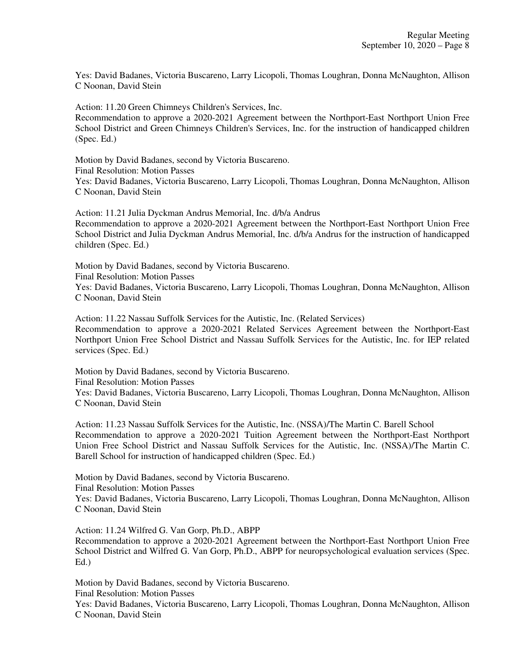Yes: David Badanes, Victoria Buscareno, Larry Licopoli, Thomas Loughran, Donna McNaughton, Allison C Noonan, David Stein

Action: 11.20 Green Chimneys Children's Services, Inc.

Recommendation to approve a 2020-2021 Agreement between the Northport-East Northport Union Free School District and Green Chimneys Children's Services, Inc. for the instruction of handicapped children (Spec. Ed.)

Motion by David Badanes, second by Victoria Buscareno. Final Resolution: Motion Passes Yes: David Badanes, Victoria Buscareno, Larry Licopoli, Thomas Loughran, Donna McNaughton, Allison C Noonan, David Stein

Action: 11.21 Julia Dyckman Andrus Memorial, Inc. d/b/a Andrus Recommendation to approve a 2020-2021 Agreement between the Northport-East Northport Union Free School District and Julia Dyckman Andrus Memorial, Inc. d/b/a Andrus for the instruction of handicapped children (Spec. Ed.)

Motion by David Badanes, second by Victoria Buscareno. Final Resolution: Motion Passes Yes: David Badanes, Victoria Buscareno, Larry Licopoli, Thomas Loughran, Donna McNaughton, Allison C Noonan, David Stein

Action: 11.22 Nassau Suffolk Services for the Autistic, Inc. (Related Services) Recommendation to approve a 2020-2021 Related Services Agreement between the Northport-East Northport Union Free School District and Nassau Suffolk Services for the Autistic, Inc. for IEP related services (Spec. Ed.)

Motion by David Badanes, second by Victoria Buscareno. Final Resolution: Motion Passes Yes: David Badanes, Victoria Buscareno, Larry Licopoli, Thomas Loughran, Donna McNaughton, Allison C Noonan, David Stein

Action: 11.23 Nassau Suffolk Services for the Autistic, Inc. (NSSA)/The Martin C. Barell School Recommendation to approve a 2020-2021 Tuition Agreement between the Northport-East Northport Union Free School District and Nassau Suffolk Services for the Autistic, Inc. (NSSA)/The Martin C. Barell School for instruction of handicapped children (Spec. Ed.)

Motion by David Badanes, second by Victoria Buscareno. Final Resolution: Motion Passes Yes: David Badanes, Victoria Buscareno, Larry Licopoli, Thomas Loughran, Donna McNaughton, Allison C Noonan, David Stein

Action: 11.24 Wilfred G. Van Gorp, Ph.D., ABPP Recommendation to approve a 2020-2021 Agreement between the Northport-East Northport Union Free School District and Wilfred G. Van Gorp, Ph.D., ABPP for neuropsychological evaluation services (Spec. Ed.)

Motion by David Badanes, second by Victoria Buscareno. Final Resolution: Motion Passes

Yes: David Badanes, Victoria Buscareno, Larry Licopoli, Thomas Loughran, Donna McNaughton, Allison C Noonan, David Stein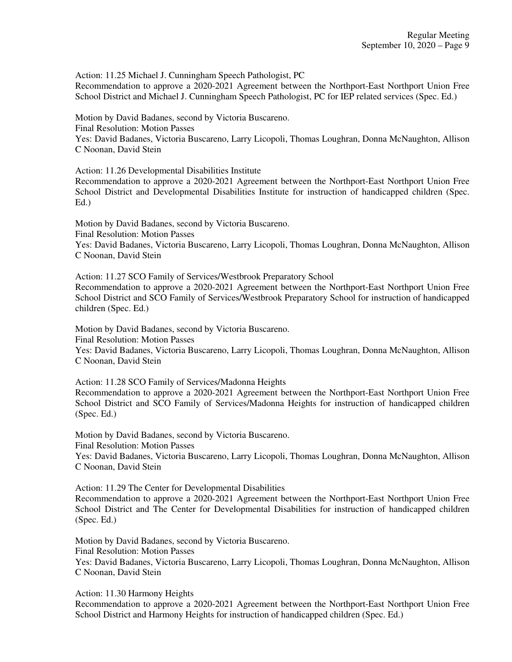Action: 11.25 Michael J. Cunningham Speech Pathologist, PC Recommendation to approve a 2020-2021 Agreement between the Northport-East Northport Union Free School District and Michael J. Cunningham Speech Pathologist, PC for IEP related services (Spec. Ed.)

Motion by David Badanes, second by Victoria Buscareno. Final Resolution: Motion Passes Yes: David Badanes, Victoria Buscareno, Larry Licopoli, Thomas Loughran, Donna McNaughton, Allison C Noonan, David Stein

Action: 11.26 Developmental Disabilities Institute

Recommendation to approve a 2020-2021 Agreement between the Northport-East Northport Union Free School District and Developmental Disabilities Institute for instruction of handicapped children (Spec. Ed.)

Motion by David Badanes, second by Victoria Buscareno.

Final Resolution: Motion Passes

Yes: David Badanes, Victoria Buscareno, Larry Licopoli, Thomas Loughran, Donna McNaughton, Allison C Noonan, David Stein

Action: 11.27 SCO Family of Services/Westbrook Preparatory School

Recommendation to approve a 2020-2021 Agreement between the Northport-East Northport Union Free School District and SCO Family of Services/Westbrook Preparatory School for instruction of handicapped children (Spec. Ed.)

Motion by David Badanes, second by Victoria Buscareno. Final Resolution: Motion Passes Yes: David Badanes, Victoria Buscareno, Larry Licopoli, Thomas Loughran, Donna McNaughton, Allison

C Noonan, David Stein

Action: 11.28 SCO Family of Services/Madonna Heights Recommendation to approve a 2020-2021 Agreement between the Northport-East Northport Union Free School District and SCO Family of Services/Madonna Heights for instruction of handicapped children (Spec. Ed.)

Motion by David Badanes, second by Victoria Buscareno. Final Resolution: Motion Passes

Yes: David Badanes, Victoria Buscareno, Larry Licopoli, Thomas Loughran, Donna McNaughton, Allison C Noonan, David Stein

Action: 11.29 The Center for Developmental Disabilities Recommendation to approve a 2020-2021 Agreement between the Northport-East Northport Union Free School District and The Center for Developmental Disabilities for instruction of handicapped children (Spec. Ed.)

Motion by David Badanes, second by Victoria Buscareno. Final Resolution: Motion Passes Yes: David Badanes, Victoria Buscareno, Larry Licopoli, Thomas Loughran, Donna McNaughton, Allison C Noonan, David Stein

Action: 11.30 Harmony Heights

Recommendation to approve a 2020-2021 Agreement between the Northport-East Northport Union Free School District and Harmony Heights for instruction of handicapped children (Spec. Ed.)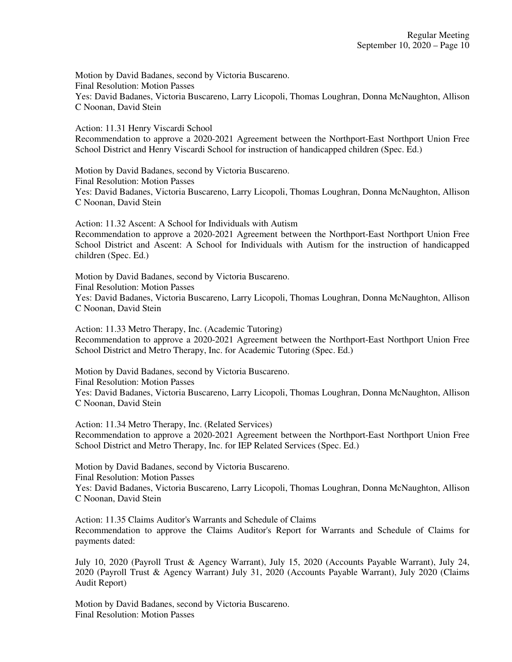Motion by David Badanes, second by Victoria Buscareno. Final Resolution: Motion Passes Yes: David Badanes, Victoria Buscareno, Larry Licopoli, Thomas Loughran, Donna McNaughton, Allison C Noonan, David Stein

Action: 11.31 Henry Viscardi School Recommendation to approve a 2020-2021 Agreement between the Northport-East Northport Union Free School District and Henry Viscardi School for instruction of handicapped children (Spec. Ed.)

Motion by David Badanes, second by Victoria Buscareno. Final Resolution: Motion Passes Yes: David Badanes, Victoria Buscareno, Larry Licopoli, Thomas Loughran, Donna McNaughton, Allison C Noonan, David Stein

Action: 11.32 Ascent: A School for Individuals with Autism Recommendation to approve a 2020-2021 Agreement between the Northport-East Northport Union Free School District and Ascent: A School for Individuals with Autism for the instruction of handicapped children (Spec. Ed.)

Motion by David Badanes, second by Victoria Buscareno. Final Resolution: Motion Passes Yes: David Badanes, Victoria Buscareno, Larry Licopoli, Thomas Loughran, Donna McNaughton, Allison C Noonan, David Stein

Action: 11.33 Metro Therapy, Inc. (Academic Tutoring) Recommendation to approve a 2020-2021 Agreement between the Northport-East Northport Union Free School District and Metro Therapy, Inc. for Academic Tutoring (Spec. Ed.)

Motion by David Badanes, second by Victoria Buscareno. Final Resolution: Motion Passes Yes: David Badanes, Victoria Buscareno, Larry Licopoli, Thomas Loughran, Donna McNaughton, Allison C Noonan, David Stein

Action: 11.34 Metro Therapy, Inc. (Related Services) Recommendation to approve a 2020-2021 Agreement between the Northport-East Northport Union Free School District and Metro Therapy, Inc. for IEP Related Services (Spec. Ed.)

Motion by David Badanes, second by Victoria Buscareno. Final Resolution: Motion Passes Yes: David Badanes, Victoria Buscareno, Larry Licopoli, Thomas Loughran, Donna McNaughton, Allison C Noonan, David Stein

Action: 11.35 Claims Auditor's Warrants and Schedule of Claims Recommendation to approve the Claims Auditor's Report for Warrants and Schedule of Claims for payments dated:

July 10, 2020 (Payroll Trust & Agency Warrant), July 15, 2020 (Accounts Payable Warrant), July 24, 2020 (Payroll Trust & Agency Warrant) July 31, 2020 (Accounts Payable Warrant), July 2020 (Claims Audit Report)

Motion by David Badanes, second by Victoria Buscareno. Final Resolution: Motion Passes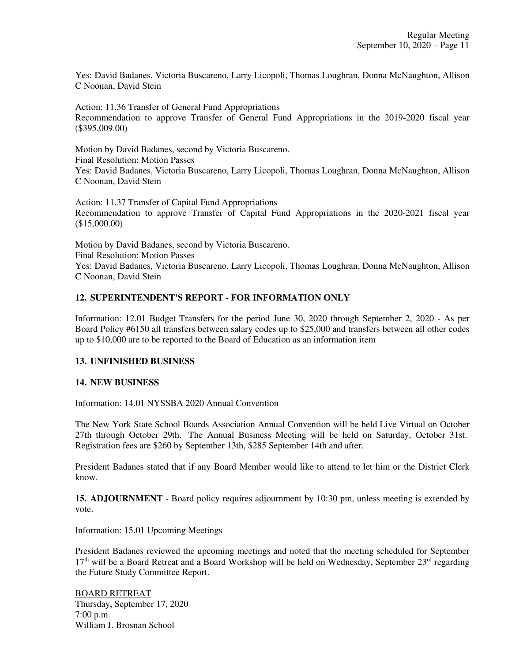Yes: David Badanes, Victoria Buscareno, Larry Licopoli, Thomas Loughran, Donna McNaughton, Allison C Noonan, David Stein

Action: 11.36 Transfer of General Fund Appropriations Recommendation to approve Transfer of General Fund Appropriations in the 2019-2020 fiscal year (\$395,009.00)

Motion by David Badanes, second by Victoria Buscareno. Final Resolution: Motion Passes Yes: David Badanes, Victoria Buscareno, Larry Licopoli, Thomas Loughran, Donna McNaughton, Allison C Noonan, David Stein

Action: 11.37 Transfer of Capital Fund Appropriations Recommendation to approve Transfer of Capital Fund Appropriations in the 2020-2021 fiscal year (\$15,000.00)

Motion by David Badanes, second by Victoria Buscareno. Final Resolution: Motion Passes Yes: David Badanes, Victoria Buscareno, Larry Licopoli, Thomas Loughran, Donna McNaughton, Allison C Noonan, David Stein

## **12. SUPERINTENDENT'S REPORT - FOR INFORMATION ONLY**

Information: 12.01 Budget Transfers for the period June 30, 2020 through September 2, 2020 - As per Board Policy #6150 all transfers between salary codes up to \$25,000 and transfers between all other codes up to \$10,000 are to be reported to the Board of Education as an information item

### **13. UNFINISHED BUSINESS**

### **14. NEW BUSINESS**

Information: 14.01 NYSSBA 2020 Annual Convention

The New York State School Boards Association Annual Convention will be held Live Virtual on October 27th through October 29th. The Annual Business Meeting will be held on Saturday, October 31st. Registration fees are \$260 by September 13th, \$285 September 14th and after.

President Badanes stated that if any Board Member would like to attend to let him or the District Clerk know.

**15. ADJOURNMENT** - Board policy requires adjournment by 10:30 pm, unless meeting is extended by vote.

Information: 15.01 Upcoming Meetings

President Badanes reviewed the upcoming meetings and noted that the meeting scheduled for September 17<sup>th</sup> will be a Board Retreat and a Board Workshop will be held on Wednesday, September 23<sup>rd</sup> regarding the Future Study Committee Report.

BOARD RETREAT Thursday, September 17, 2020 7:00 p.m. William J. Brosnan School